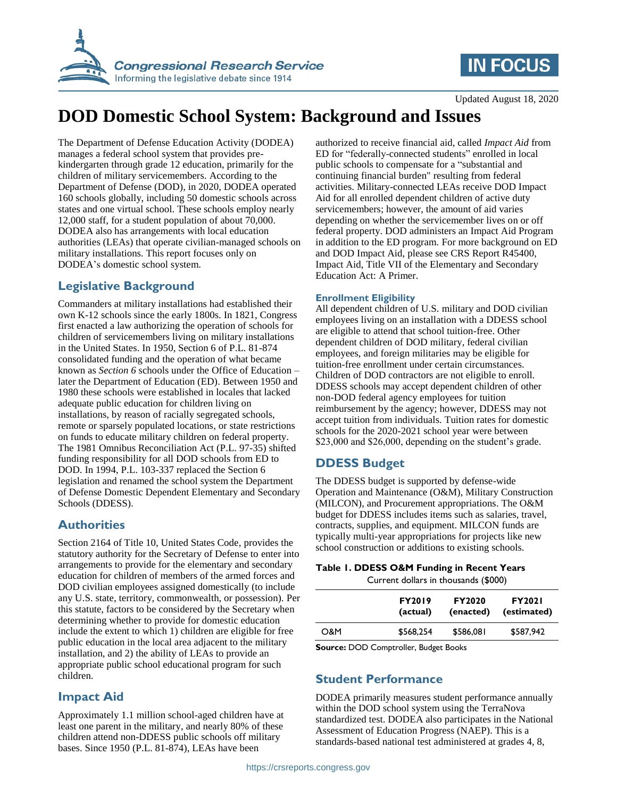



Updated August 18, 2020

# **DOD Domestic School System: Background and Issues**

The Department of Defense Education Activity (DODEA) manages a federal school system that provides prekindergarten through grade 12 education, primarily for the children of military servicemembers. According to the Department of Defense (DOD), in 2020, DODEA operated 160 schools globally, including 50 domestic schools across states and one virtual school. These schools employ nearly 12,000 staff, for a student population of about 70,000. DODEA also has arrangements with local education authorities (LEAs) that operate civilian-managed schools on military installations. This report focuses only on DODEA's domestic school system.

### **Legislative Background**

Commanders at military installations had established their own K-12 schools since the early 1800s. In 1821, Congress first enacted a law authorizing the operation of schools for children of servicemembers living on military installations in the United States. In 1950, Section 6 of P.L. 81-874 consolidated funding and the operation of what became known as *Section 6* schools under the Office of Education – later the Department of Education (ED). Between 1950 and 1980 these schools were established in locales that lacked adequate public education for children living on installations, by reason of racially segregated schools, remote or sparsely populated locations, or state restrictions on funds to educate military children on federal property. The 1981 Omnibus Reconciliation Act (P.L. 97-35) shifted funding responsibility for all DOD schools from ED to DOD. In 1994, P.L. 103-337 replaced the Section 6 legislation and renamed the school system the Department of Defense Domestic Dependent Elementary and Secondary Schools (DDESS).

### **Authorities**

Section 2164 of Title 10, United States Code, provides the statutory authority for the Secretary of Defense to enter into arrangements to provide for the elementary and secondary education for children of members of the armed forces and DOD civilian employees assigned domestically (to include any U.S. state, territory, commonwealth, or possession). Per this statute, factors to be considered by the Secretary when determining whether to provide for domestic education include the extent to which 1) children are eligible for free public education in the local area adjacent to the military installation, and 2) the ability of LEAs to provide an appropriate public school educational program for such children.

# **Impact Aid**

Approximately 1.1 million school-aged children have at least one parent in the military, and nearly 80% of these children attend non-DDESS public schools off military bases. Since 1950 (P.L. 81-874), LEAs have been

authorized to receive financial aid, called *Impact Aid* from ED for "federally-connected students" enrolled in local public schools to compensate for a "substantial and continuing financial burden" resulting from federal activities. Military-connected LEAs receive DOD Impact Aid for all enrolled dependent children of active duty servicemembers; however, the amount of aid varies depending on whether the servicemember lives on or off federal property. DOD administers an Impact Aid Program in addition to the ED program. For more background on ED and DOD Impact Aid, please see CRS Report R45400, Impact Aid, Title VII of the Elementary and Secondary Education Act: A Primer.

#### **Enrollment Eligibility**

All dependent children of U.S. military and DOD civilian employees living on an installation with a DDESS school are eligible to attend that school tuition-free. Other dependent children of DOD military, federal civilian employees, and foreign militaries may be eligible for tuition-free enrollment under certain circumstances. Children of DOD contractors are not eligible to enroll. DDESS schools may accept dependent children of other non-DOD federal agency employees for tuition reimbursement by the agency; however, DDESS may not accept tuition from individuals. Tuition rates for domestic schools for the 2020-2021 school year were between \$23,000 and \$26,000, depending on the student's grade.

# **DDESS Budget**

The DDESS budget is supported by defense-wide Operation and Maintenance (O&M), Military Construction (MILCON), and Procurement appropriations. The O&M budget for DDESS includes items such as salaries, travel, contracts, supplies, and equipment. MILCON funds are typically multi-year appropriations for projects like new school construction or additions to existing schools.

**Table 1. DDESS O&M Funding in Recent Years**

Current dollars in thousands (\$000)

|     | <b>FY2019</b><br>(actual) | <b>FY2020</b><br>(enacted) | <b>FY2021</b><br>(estimated) |
|-----|---------------------------|----------------------------|------------------------------|
| O&M | \$568,254                 | \$586,081                  | \$587,942                    |
|     |                           |                            |                              |

**Source:** DOD Comptroller, Budget Books

# **Student Performance**

DODEA primarily measures student performance annually within the DOD school system using the TerraNova standardized test. DODEA also participates in the National Assessment of Education Progress (NAEP). This is a standards-based national test administered at grades 4, 8,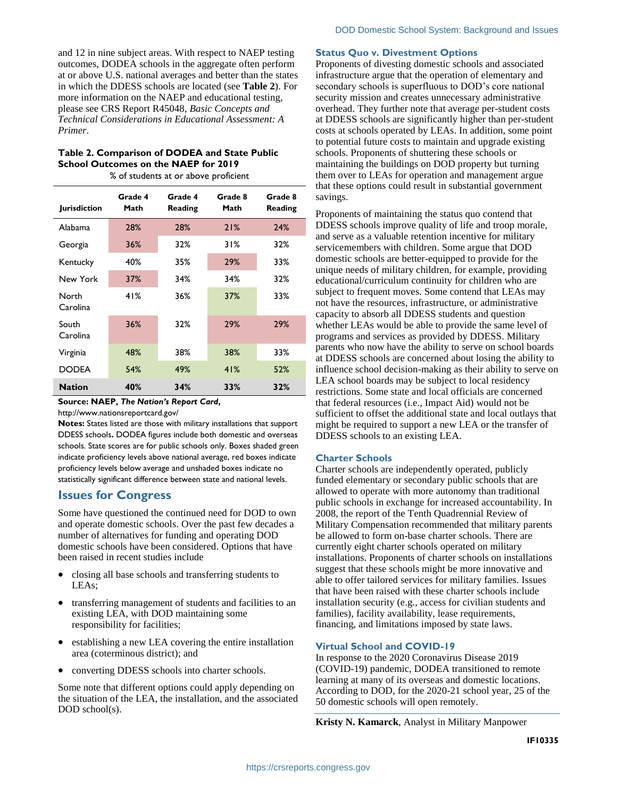and 12 in nine subject areas. With respect to NAEP testing outcomes, DODEA schools in the aggregate often perform at or above U.S. national averages and better than the states in which the DDESS schools are located (see **[Table 2](#page-1-0)**). For more information on the NAEP and educational testing, please see CRS Report R45048, *Basic Concepts and Technical Considerations in Educational Assessment: A Primer*.

#### <span id="page-1-0"></span>**Table 2. Comparison of DODEA and State Public School Outcomes on the NAEP for 2019**

% of students at or above proficient

| <b>Jurisdiction</b> | Grade 4<br>Math | Grade 4<br>Reading | Grade 8<br>Math | Grade 8<br>Reading |
|---------------------|-----------------|--------------------|-----------------|--------------------|
| <b>Alabama</b>      | 28%             | 28%                | 21%             | 24%                |
| Georgia             | 36%             | 32%                | 31%             | 32%                |
| Kentucky            | 40%             | 35%                | 29%             | 33%                |
| New York            | 37%             | 34%                | 34%             | 32%                |
| North<br>Carolina   | 41%             | 36%                | 37%             | 33%                |
| South<br>Carolina   | 36%             | 32%                | 29%             | 29%                |
| Virginia            | 48%             | 38%                | 38%             | 33%                |
| <b>DODEA</b>        | 54%             | 49%                | 41%             | 52%                |
| <b>Nation</b>       | 40%             | 34%                | 33%             | 32%                |

#### **Source: NAEP,** *The Nation's Report Card***,**

http://www.nationsreportcard.gov/

**Notes:** States listed are those with military installations that support DDESS schools**.** DODEA figures include both domestic and overseas schools. State scores are for public schools only. Boxes shaded green indicate proficiency levels above national average, red boxes indicate proficiency levels below average and unshaded boxes indicate no statistically significant difference between state and national levels.

#### **Issues for Congress**

Some have questioned the continued need for DOD to own and operate domestic schools. Over the past few decades a number of alternatives for funding and operating DOD domestic schools have been considered. Options that have been raised in recent studies include

- closing all base schools and transferring students to LEAs;
- transferring management of students and facilities to an existing LEA, with DOD maintaining some responsibility for facilities;
- establishing a new LEA covering the entire installation area (coterminous district); and
- converting DDESS schools into charter schools.

Some note that different options could apply depending on the situation of the LEA, the installation, and the associated DOD school(s).

#### **Status Quo v. Divestment Options**

Proponents of divesting domestic schools and associated infrastructure argue that the operation of elementary and secondary schools is superfluous to DOD's core national security mission and creates unnecessary administrative overhead. They further note that average per-student costs at DDESS schools are significantly higher than per-student costs at schools operated by LEAs. In addition, some point to potential future costs to maintain and upgrade existing schools. Proponents of shuttering these schools or maintaining the buildings on DOD property but turning them over to LEAs for operation and management argue that these options could result in substantial government savings.

Proponents of maintaining the status quo contend that DDESS schools improve quality of life and troop morale, and serve as a valuable retention incentive for military servicemembers with children. Some argue that DOD domestic schools are better-equipped to provide for the unique needs of military children, for example, providing educational/curriculum continuity for children who are subject to frequent moves. Some contend that LEAs may not have the resources, infrastructure, or administrative capacity to absorb all DDESS students and question whether LEAs would be able to provide the same level of programs and services as provided by DDESS. Military parents who now have the ability to serve on school boards at DDESS schools are concerned about losing the ability to influence school decision-making as their ability to serve on LEA school boards may be subject to local residency restrictions. Some state and local officials are concerned that federal resources (i.e., Impact Aid) would not be sufficient to offset the additional state and local outlays that might be required to support a new LEA or the transfer of DDESS schools to an existing LEA.

#### **Charter Schools**

Charter schools are independently operated, publicly funded elementary or secondary public schools that are allowed to operate with more autonomy than traditional public schools in exchange for increased accountability. In 2008, the report of the Tenth Quadrennial Review of Military Compensation recommended that military parents be allowed to form on-base charter schools. There are currently eight charter schools operated on military installations. Proponents of charter schools on installations suggest that these schools might be more innovative and able to offer tailored services for military families. Issues that have been raised with these charter schools include installation security (e.g., access for civilian students and families), facility availability, lease requirements, financing, and limitations imposed by state laws.

#### **Virtual School and COVID-19**

In response to the 2020 Coronavirus Disease 2019 (COVID-19) pandemic, DODEA transitioned to remote learning at many of its overseas and domestic locations. According to DOD, for the 2020-21 school year, 25 of the 50 domestic schools will open remotely.

**Kristy N. Kamarck**, Analyst in Military Manpower